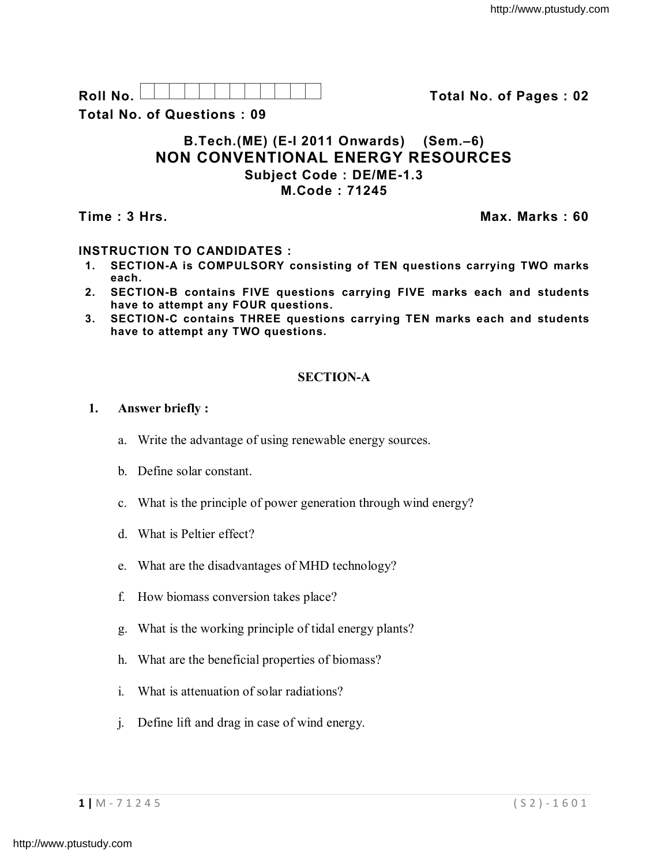**Roll No. Total No. of Pages : 02**

**Total No. of Questions : 09**

## **B.Tech.(ME) (E-I 2011 Onwards) (Sem.–6) NON CONVENTIONAL ENERGY RESOURCES Subject Code : DE/ME-1.3 M.Code : 71245**

**Time : 3 Hrs. Max. Marks : 60**

# **INSTRUCTION TO CANDIDATES :**

- **1. SECTION-A is COMPULSORY consisting of TEN questions carrying TWO marks each.**
- **2. SECTION-B contains FIVE questions carrying FIVE marks each and students have to attempt any FOUR questions.**
- **3. SECTION-C contains THREE questions carrying TEN marks each and students have to attempt any TWO questions.**

## **SECTION-A**

## **1. Answer briefly :**

- a. Write the advantage of using renewable energy sources.
- b. Define solar constant.
- c. What is the principle of power generation through wind energy?
- d. What is Peltier effect?
- e. What are the disadvantages of MHD technology?
- f. How biomass conversion takes place?
- g. What is the working principle of tidal energy plants?
- h. What are the beneficial properties of biomass?
- i. What is attenuation of solar radiations?
- j. Define lift and drag in case of wind energy.